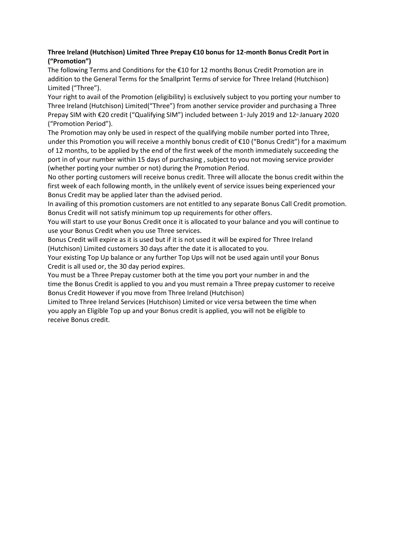## **Three Ireland (Hutchison) Limited Three Prepay €10 bonus for 12-month Bonus Credit Port in ("Promotion")**

The following Terms and Conditions for the €10 for 12 months Bonus Credit Promotion are in addition to the General Terms for the Smallprint Terms of service for Three Ireland (Hutchison) Limited ("Three").

Your right to avail of the Promotion (eligibility) is exclusively subject to you porting your number to Three Ireland (Hutchison) Limited("Three") from another service provider and purchasing a Three Prepay SIM with €20 credit ("Qualifying SIM") included between 1<sup>st</sup> July 2019 and 12<sup>th</sup> January 2020 ("Promotion Period").

The Promotion may only be used in respect of the qualifying mobile number ported into Three, under this Promotion you will receive a monthly bonus credit of €10 ("Bonus Credit") for a maximum of 12 months, to be applied by the end of the first week of the month immediately succeeding the port in of your number within 15 days of purchasing , subject to you not moving service provider (whether porting your number or not) during the Promotion Period.

No other porting customers will receive bonus credit. Three will allocate the bonus credit within the first week of each following month, in the unlikely event of service issues being experienced your Bonus Credit may be applied later than the advised period.

In availing of this promotion customers are not entitled to any separate Bonus Call Credit promotion. Bonus Credit will not satisfy minimum top up requirements for other offers.

You will start to use your Bonus Credit once it is allocated to your balance and you will continue to use your Bonus Credit when you use Three services.

Bonus Credit will expire as it is used but if it is not used it will be expired for Three Ireland (Hutchison) Limited customers 30 days after the date it is allocated to you.

Your existing Top Up balance or any further Top Ups will not be used again until your Bonus Credit is all used or, the 30 day period expires.

You must be a Three Prepay customer both at the time you port your number in and the time the Bonus Credit is applied to you and you must remain a Three prepay customer to receive Bonus Credit However if you move from Three Ireland (Hutchison)

Limited to Three Ireland Services (Hutchison) Limited or vice versa between the time when you apply an Eligible Top up and your Bonus credit is applied, you will not be eligible to receive Bonus credit.